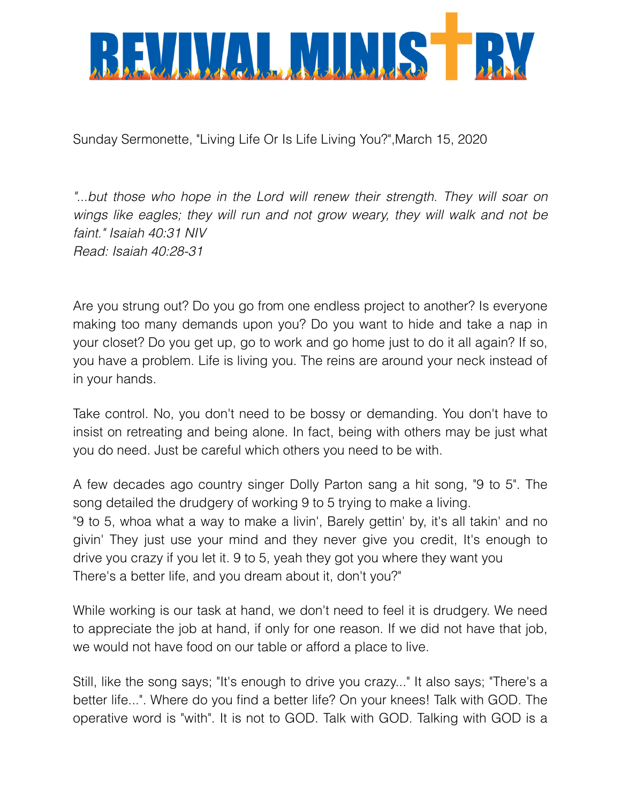

Sunday Sermonette, "Living Life Or Is Life Living You?",March 15, 2020

*"...but those who hope in the Lord will renew their strength. They will soar on wings like eagles; they will run and not grow weary, they will walk and not be faint." Isaiah 40:31 NIV Read: Isaiah 40:28-31* 

Are you strung out? Do you go from one endless project to another? Is everyone making too many demands upon you? Do you want to hide and take a nap in your closet? Do you get up, go to work and go home just to do it all again? If so, you have a problem. Life is living you. The reins are around your neck instead of in your hands.

Take control. No, you don't need to be bossy or demanding. You don't have to insist on retreating and being alone. In fact, being with others may be just what you do need. Just be careful which others you need to be with.

A few decades ago country singer Dolly Parton sang a hit song, "9 to 5". The song detailed the drudgery of working 9 to 5 trying to make a living. "9 to 5, whoa what a way to make a livin', Barely gettin' by, it's all takin' and no givin' They just use your mind and they never give you credit, It's enough to drive you crazy if you let it. 9 to 5, yeah they got you where they want you There's a better life, and you dream about it, don't you?"

While working is our task at hand, we don't need to feel it is drudgery. We need to appreciate the job at hand, if only for one reason. If we did not have that job, we would not have food on our table or afford a place to live.

Still, like the song says; "It's enough to drive you crazy..." It also says; "There's a better life...". Where do you find a better life? On your knees! Talk with GOD. The operative word is "with". It is not to GOD. Talk with GOD. Talking with GOD is a